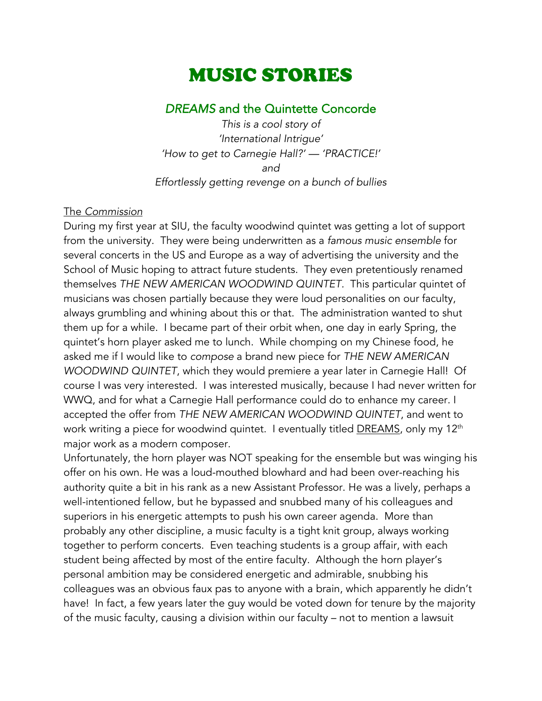# MUSIC STORIES

# *DREAMS* and the Quintette Concorde

*This is a cool story of 'International Intrigue' 'How to get to Carnegie Hall?' — 'PRACTICE!' and Effortlessly getting revenge on a bunch of bullies*

#### The *Commission*

During my first year at SIU, the faculty woodwind quintet was getting a lot of support from the university. They were being underwritten as a *famous music ensemble* for several concerts in the US and Europe as a way of advertising the university and the School of Music hoping to attract future students. They even pretentiously renamed themselves *THE NEW AMERICAN WOODWIND QUINTET.* This particular quintet of musicians was chosen partially because they were loud personalities on our faculty, always grumbling and whining about this or that. The administration wanted to shut them up for a while. I became part of their orbit when, one day in early Spring, the quintet's horn player asked me to lunch. While chomping on my Chinese food, he asked me if I would like to *compose* a brand new piece for *THE NEW AMERICAN WOODWIND QUINTET*, which they would premiere a year later in Carnegie Hall! Of course I was very interested. I was interested musically, because I had never written for WWQ, and for what a Carnegie Hall performance could do to enhance my career. I accepted the offer from *THE NEW AMERICAN WOODWIND QUINTET*, and went to work writing a piece for woodwind quintet. I eventually titled **DREAMS**, only my 12<sup>th</sup> major work as a modern composer.

Unfortunately, the horn player was NOT speaking for the ensemble but was winging his offer on his own. He was a loud-mouthed blowhard and had been over-reaching his authority quite a bit in his rank as a new Assistant Professor. He was a lively, perhaps a well-intentioned fellow, but he bypassed and snubbed many of his colleagues and superiors in his energetic attempts to push his own career agenda. More than probably any other discipline, a music faculty is a tight knit group, always working together to perform concerts. Even teaching students is a group affair, with each student being affected by most of the entire faculty. Although the horn player's personal ambition may be considered energetic and admirable, snubbing his colleagues was an obvious faux pas to anyone with a brain, which apparently he didn't have! In fact, a few years later the guy would be voted down for tenure by the majority of the music faculty, causing a division within our faculty – not to mention a lawsuit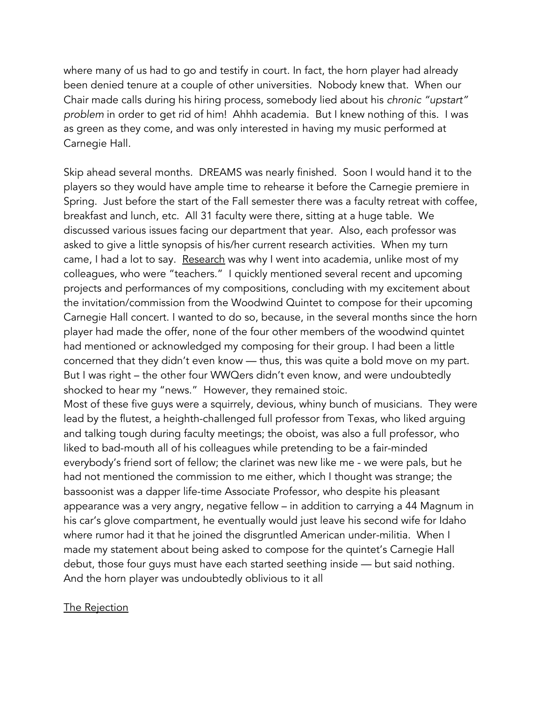where many of us had to go and testify in court. In fact, the horn player had already been denied tenure at a couple of other universities. Nobody knew that. When our Chair made calls during his hiring process, somebody lied about his *chronic "upstart" problem* in order to get rid of him! Ahhh academia. But I knew nothing of this. I was as green as they come, and was only interested in having my music performed at Carnegie Hall.

Skip ahead several months. DREAMS was nearly finished. Soon I would hand it to the players so they would have ample time to rehearse it before the Carnegie premiere in Spring. Just before the start of the Fall semester there was a faculty retreat with coffee, breakfast and lunch, etc. All 31 faculty were there, sitting at a huge table. We discussed various issues facing our department that year. Also, each professor was asked to give a little synopsis of his/her current research activities. When my turn came, I had a lot to say. Research was why I went into academia, unlike most of my colleagues, who were "teachers." I quickly mentioned several recent and upcoming projects and performances of my compositions, concluding with my excitement about the invitation/commission from the Woodwind Quintet to compose for their upcoming Carnegie Hall concert. I wanted to do so, because, in the several months since the horn player had made the offer, none of the four other members of the woodwind quintet had mentioned or acknowledged my composing for their group. I had been a little concerned that they didn't even know — thus, this was quite a bold move on my part. But I was right – the other four WWQers didn't even know, and were undoubtedly shocked to hear my "news." However, they remained stoic.

Most of these five guys were a squirrely, devious, whiny bunch of musicians. They were lead by the flutest, a heighth-challenged full professor from Texas, who liked arguing and talking tough during faculty meetings; the oboist, was also a full professor, who liked to bad-mouth all of his colleagues while pretending to be a fair-minded everybody's friend sort of fellow; the clarinet was new like me - we were pals, but he had not mentioned the commission to me either, which I thought was strange; the bassoonist was a dapper life-time Associate Professor, who despite his pleasant appearance was a very angry, negative fellow – in addition to carrying a 44 Magnum in his car's glove compartment, he eventually would just leave his second wife for Idaho where rumor had it that he joined the disgruntled American under-militia. When I made my statement about being asked to compose for the quintet's Carnegie Hall debut, those four guys must have each started seething inside — but said nothing. And the horn player was undoubtedly oblivious to it all

#### The Rejection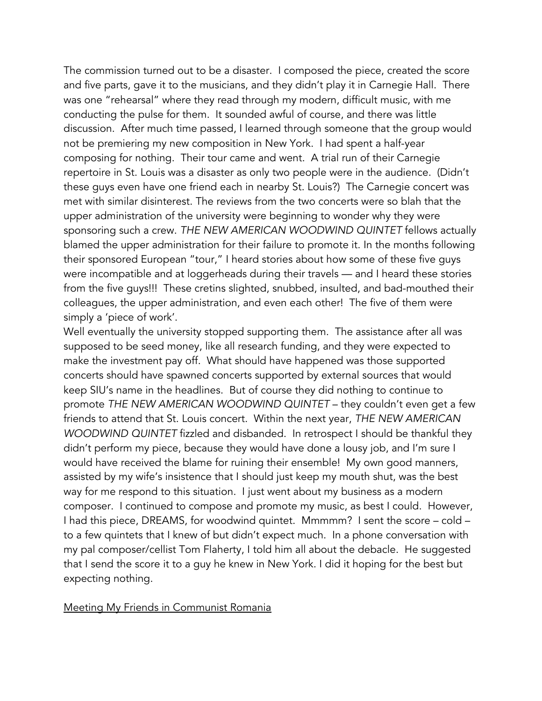The commission turned out to be a disaster. I composed the piece, created the score and five parts, gave it to the musicians, and they didn't play it in Carnegie Hall. There was one "rehearsal" where they read through my modern, difficult music, with me conducting the pulse for them. It sounded awful of course, and there was little discussion. After much time passed, I learned through someone that the group would not be premiering my new composition in New York. I had spent a half-year composing for nothing. Their tour came and went. A trial run of their Carnegie repertoire in St. Louis was a disaster as only two people were in the audience. (Didn't these guys even have one friend each in nearby St. Louis?) The Carnegie concert was met with similar disinterest. The reviews from the two concerts were so blah that the upper administration of the university were beginning to wonder why they were sponsoring such a crew. *THE NEW AMERICAN WOODWIND QUINTET* fellows actually blamed the upper administration for their failure to promote it. In the months following their sponsored European "tour," I heard stories about how some of these five guys were incompatible and at loggerheads during their travels — and I heard these stories from the five guys!!! These cretins slighted, snubbed, insulted, and bad-mouthed their colleagues, the upper administration, and even each other! The five of them were simply a 'piece of work'.

Well eventually the university stopped supporting them. The assistance after all was supposed to be seed money, like all research funding, and they were expected to make the investment pay off. What should have happened was those supported concerts should have spawned concerts supported by external sources that would keep SIU's name in the headlines. But of course they did nothing to continue to promote *THE NEW AMERICAN WOODWIND QUINTET* – they couldn't even get a few friends to attend that St. Louis concert. Within the next year, *THE NEW AMERICAN WOODWIND QUINTET* fizzled and disbanded. In retrospect I should be thankful they didn't perform my piece, because they would have done a lousy job, and I'm sure I would have received the blame for ruining their ensemble! My own good manners, assisted by my wife's insistence that I should just keep my mouth shut, was the best way for me respond to this situation. I just went about my business as a modern composer. I continued to compose and promote my music, as best I could. However, I had this piece, DREAMS, for woodwind quintet. Mmmmm? I sent the score – cold – to a few quintets that I knew of but didn't expect much. In a phone conversation with my pal composer/cellist Tom Flaherty, I told him all about the debacle. He suggested that I send the score it to a guy he knew in New York. I did it hoping for the best but expecting nothing.

#### Meeting My Friends in Communist Romania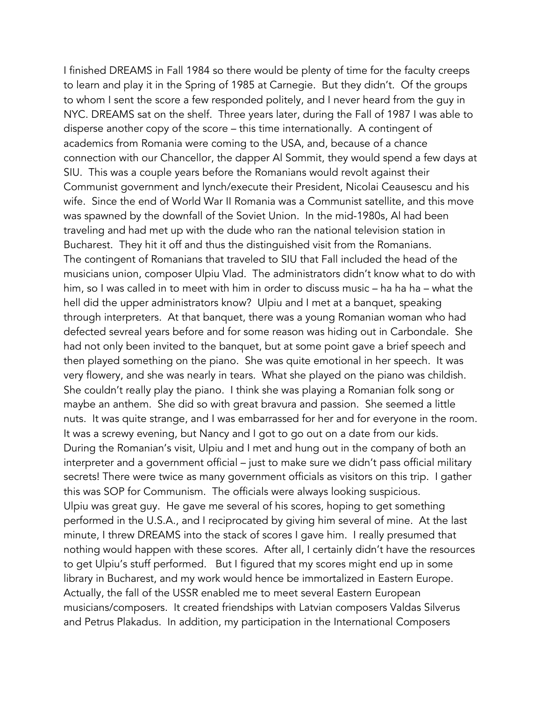I finished DREAMS in Fall 1984 so there would be plenty of time for the faculty creeps to learn and play it in the Spring of 1985 at Carnegie. But they didn't. Of the groups to whom I sent the score a few responded politely, and I never heard from the guy in NYC. DREAMS sat on the shelf. Three years later, during the Fall of 1987 I was able to disperse another copy of the score – this time internationally. A contingent of academics from Romania were coming to the USA, and, because of a chance connection with our Chancellor, the dapper Al Sommit, they would spend a few days at SIU. This was a couple years before the Romanians would revolt against their Communist government and lynch/execute their President, Nicolai Ceausescu and his wife. Since the end of World War II Romania was a Communist satellite, and this move was spawned by the downfall of the Soviet Union. In the mid-1980s, Al had been traveling and had met up with the dude who ran the national television station in Bucharest. They hit it off and thus the distinguished visit from the Romanians. The contingent of Romanians that traveled to SIU that Fall included the head of the musicians union, composer Ulpiu Vlad. The administrators didn't know what to do with him, so I was called in to meet with him in order to discuss music – ha ha ha – what the hell did the upper administrators know? Ulpiu and I met at a banquet, speaking through interpreters. At that banquet, there was a young Romanian woman who had defected sevreal years before and for some reason was hiding out in Carbondale. She had not only been invited to the banquet, but at some point gave a brief speech and then played something on the piano. She was quite emotional in her speech. It was very flowery, and she was nearly in tears. What she played on the piano was childish. She couldn't really play the piano. I think she was playing a Romanian folk song or maybe an anthem. She did so with great bravura and passion. She seemed a little nuts. It was quite strange, and I was embarrassed for her and for everyone in the room. It was a screwy evening, but Nancy and I got to go out on a date from our kids. During the Romanian's visit, Ulpiu and I met and hung out in the company of both an interpreter and a government official – just to make sure we didn't pass official military secrets! There were twice as many government officials as visitors on this trip. I gather this was SOP for Communism. The officials were always looking suspicious. Ulpiu was great guy. He gave me several of his scores, hoping to get something performed in the U.S.A., and I reciprocated by giving him several of mine. At the last minute, I threw DREAMS into the stack of scores I gave him. I really presumed that nothing would happen with these scores. After all, I certainly didn't have the resources to get Ulpiu's stuff performed. But I figured that my scores might end up in some library in Bucharest, and my work would hence be immortalized in Eastern Europe. Actually, the fall of the USSR enabled me to meet several Eastern European musicians/composers. It created friendships with Latvian composers Valdas Silverus and Petrus Plakadus. In addition, my participation in the International Composers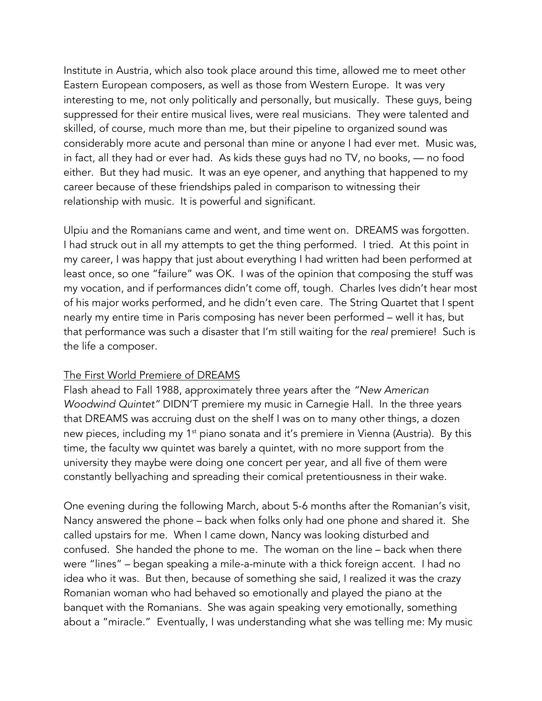Institute in Austria, which also took place around this time, allowed me to meet other Eastern European composers, as well as those from Western Europe. It was very interesting to me, not only politically and personally, but musically. These guys, being suppressed for their entire musical lives, were real musicians. They were talented and skilled, of course, much more than me, but their pipeline to organized sound was considerably more acute and personal than mine or anyone I had ever met. Music was, in fact, all they had or ever had. As kids these guys had no TV, no books, — no food either. But they had music. It was an eye opener, and anything that happened to my career because of these friendships paled in comparison to witnessing their relationship with music. It is powerful and significant.

Ulpiu and the Romanians came and went, and time went on. DREAMS was forgotten. I had struck out in all my attempts to get the thing performed. I tried. At this point in my career, I was happy that just about everything I had written had been performed at least once, so one "failure" was OK. I was of the opinion that composing the stuff was my vocation, and if performances didn't come off, tough. Charles Ives didn't hear most of his major works performed, and he didn't even care. The String Quartet that I spent nearly my entire time in Paris composing has never been performed – well it has, but that performance was such a disaster that I'm still waiting for the *real* premiere! Such is the life a composer.

## The First World Premiere of DREAMS

Flash ahead to Fall 1988, approximately three years after the *"New American Woodwind Quintet"* DIDN'T premiere my music in Carnegie Hall. In the three years that DREAMS was accruing dust on the shelf I was on to many other things, a dozen new pieces, including my 1<sup>st</sup> piano sonata and it's premiere in Vienna (Austria). By this time, the faculty ww quintet was barely a quintet, with no more support from the university they maybe were doing one concert per year, and all five of them were constantly bellyaching and spreading their comical pretentiousness in their wake.

One evening during the following March, about 5-6 months after the Romanian's visit, Nancy answered the phone – back when folks only had one phone and shared it. She called upstairs for me. When I came down, Nancy was looking disturbed and confused. She handed the phone to me. The woman on the line – back when there were "lines" – began speaking a mile-a-minute with a thick foreign accent. I had no idea who it was. But then, because of something she said, I realized it was the crazy Romanian woman who had behaved so emotionally and played the piano at the banquet with the Romanians. She was again speaking very emotionally, something about a "miracle." Eventually, I was understanding what she was telling me: My music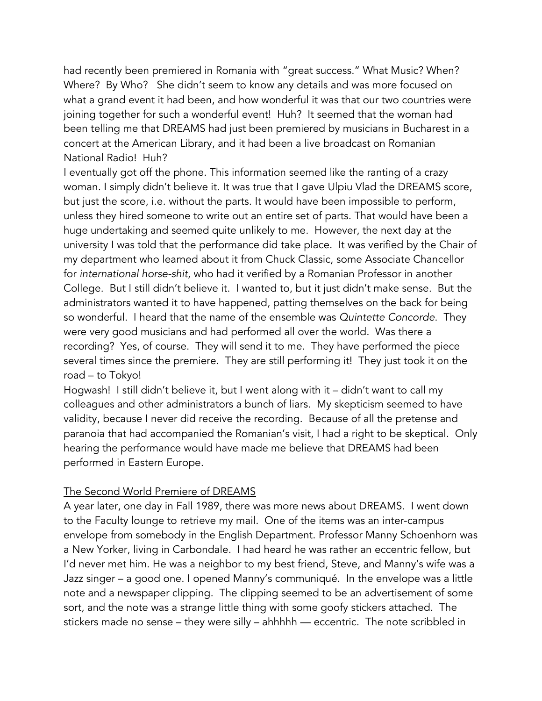had recently been premiered in Romania with "great success." What Music? When? Where? By Who? She didn't seem to know any details and was more focused on what a grand event it had been, and how wonderful it was that our two countries were joining together for such a wonderful event! Huh? It seemed that the woman had been telling me that DREAMS had just been premiered by musicians in Bucharest in a concert at the American Library, and it had been a live broadcast on Romanian National Radio! Huh?

I eventually got off the phone. This information seemed like the ranting of a crazy woman. I simply didn't believe it. It was true that I gave Ulpiu Vlad the DREAMS score, but just the score, i.e. without the parts. It would have been impossible to perform, unless they hired someone to write out an entire set of parts. That would have been a huge undertaking and seemed quite unlikely to me. However, the next day at the university I was told that the performance did take place. It was verified by the Chair of my department who learned about it from Chuck Classic, some Associate Chancellor for *international horse-shit*, who had it verified by a Romanian Professor in another College. But I still didn't believe it. I wanted to, but it just didn't make sense. But the administrators wanted it to have happened, patting themselves on the back for being so wonderful. I heard that the name of the ensemble was *Quintette Concorde*. They were very good musicians and had performed all over the world. Was there a recording? Yes, of course. They will send it to me. They have performed the piece several times since the premiere. They are still performing it! They just took it on the road – to Tokyo!

Hogwash! I still didn't believe it, but I went along with it – didn't want to call my colleagues and other administrators a bunch of liars. My skepticism seemed to have validity, because I never did receive the recording. Because of all the pretense and paranoia that had accompanied the Romanian's visit, I had a right to be skeptical. Only hearing the performance would have made me believe that DREAMS had been performed in Eastern Europe.

## The Second World Premiere of DREAMS

A year later, one day in Fall 1989, there was more news about DREAMS. I went down to the Faculty lounge to retrieve my mail. One of the items was an inter-campus envelope from somebody in the English Department. Professor Manny Schoenhorn was a New Yorker, living in Carbondale. I had heard he was rather an eccentric fellow, but I'd never met him. He was a neighbor to my best friend, Steve, and Manny's wife was a Jazz singer – a good one. I opened Manny's communiqué. In the envelope was a little note and a newspaper clipping. The clipping seemed to be an advertisement of some sort, and the note was a strange little thing with some goofy stickers attached. The stickers made no sense – they were silly – ahhhhh — eccentric. The note scribbled in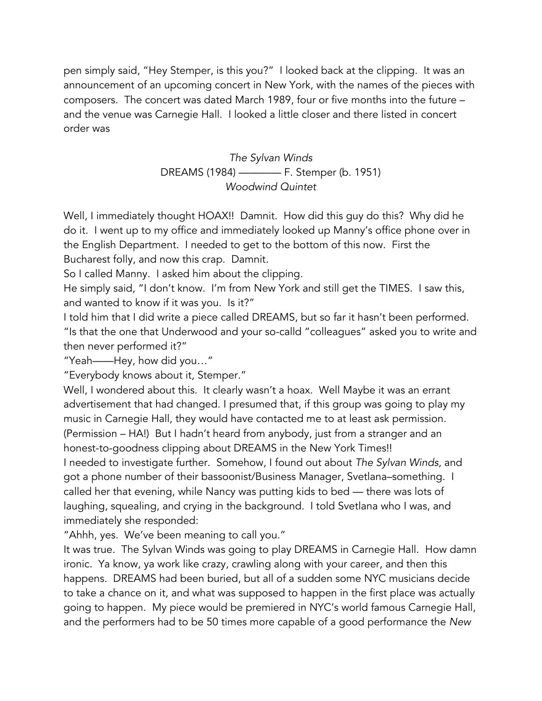pen simply said, "Hey Stemper, is this you?" I looked back at the clipping. It was an announcement of an upcoming concert in New York, with the names of the pieces with composers. The concert was dated March 1989, four or five months into the future – and the venue was Carnegie Hall. I looked a little closer and there listed in concert order was

# *The Sylvan Winds* DREAMS (1984) ———— F. Stemper (b. 1951) *Woodwind Quintet*

Well, I immediately thought HOAX!! Damnit. How did this guy do this? Why did he do it. I went up to my office and immediately looked up Manny's office phone over in the English Department. I needed to get to the bottom of this now. First the Bucharest folly, and now this crap. Damnit.

So I called Manny. I asked him about the clipping.

He simply said, "I don't know. I'm from New York and still get the TIMES. I saw this, and wanted to know if it was you. Is it?"

I told him that I did write a piece called DREAMS, but so far it hasn't been performed. "Is that the one that Underwood and your so-calld "colleagues" asked you to write and then never performed it?"

"Yeah——Hey, how did you…"

"Everybody knows about it, Stemper."

Well, I wondered about this. It clearly wasn't a hoax. Well Maybe it was an errant advertisement that had changed. I presumed that, if this group was going to play my music in Carnegie Hall, they would have contacted me to at least ask permission. (Permission – HA!) But I hadn't heard from anybody, just from a stranger and an honest-to-goodness clipping about DREAMS in the New York Times!! I needed to investigate further. Somehow, I found out about *The Sylvan Winds*, and got a phone number of their bassoonist/Business Manager, Svetlana–something. I called her that evening, while Nancy was putting kids to bed — there was lots of laughing, squealing, and crying in the background. I told Svetlana who I was, and immediately she responded:

"Ahhh, yes. We've been meaning to call you."

It was true. The Sylvan Winds was going to play DREAMS in Carnegie Hall. How damn ironic. Ya know, ya work like crazy, crawling along with your career, and then this happens. DREAMS had been buried, but all of a sudden some NYC musicians decide to take a chance on it, and what was supposed to happen in the first place was actually going to happen. My piece would be premiered in NYC's world famous Carnegie Hall, and the performers had to be 50 times more capable of a good performance the *New*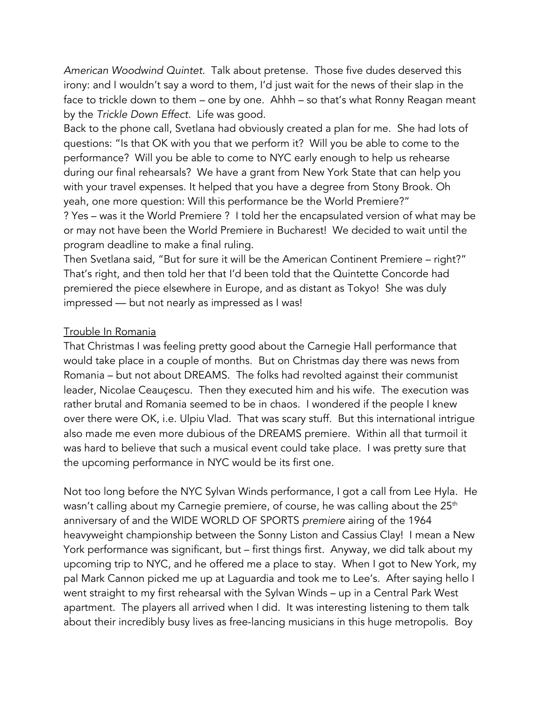*American Woodwind Quintet.* Talk about pretense. Those five dudes deserved this irony: and I wouldn't say a word to them, I'd just wait for the news of their slap in the face to trickle down to them – one by one. Ahhh – so that's what Ronny Reagan meant by the *Trickle Down Effect.* Life was good.

Back to the phone call, Svetlana had obviously created a plan for me. She had lots of questions: "Is that OK with you that we perform it? Will you be able to come to the performance? Will you be able to come to NYC early enough to help us rehearse during our final rehearsals? We have a grant from New York State that can help you with your travel expenses. It helped that you have a degree from Stony Brook. Oh yeah, one more question: Will this performance be the World Premiere?" ? Yes – was it the World Premiere ? I told her the encapsulated version of what may be or may not have been the World Premiere in Bucharest! We decided to wait until the

program deadline to make a final ruling.

Then Svetlana said, "But for sure it will be the American Continent Premiere – right?" That's right, and then told her that I'd been told that the Quintette Concorde had premiered the piece elsewhere in Europe, and as distant as Tokyo! She was duly impressed — but not nearly as impressed as I was!

## Trouble In Romania

That Christmas I was feeling pretty good about the Carnegie Hall performance that would take place in a couple of months. But on Christmas day there was news from Romania – but not about DREAMS. The folks had revolted against their communist leader, Nicolae Ceauçescu. Then they executed him and his wife. The execution was rather brutal and Romania seemed to be in chaos. I wondered if the people I knew over there were OK, i.e. Ulpiu Vlad. That was scary stuff. But this international intrigue also made me even more dubious of the DREAMS premiere. Within all that turmoil it was hard to believe that such a musical event could take place. I was pretty sure that the upcoming performance in NYC would be its first one.

Not too long before the NYC Sylvan Winds performance, I got a call from Lee Hyla. He wasn't calling about my Carnegie premiere, of course, he was calling about the 25<sup>th</sup> anniversary of and the WIDE WORLD OF SPORTS *premiere* airing of the 1964 heavyweight championship between the Sonny Liston and Cassius Clay! I mean a New York performance was significant, but – first things first. Anyway, we did talk about my upcoming trip to NYC, and he offered me a place to stay. When I got to New York, my pal Mark Cannon picked me up at Laguardia and took me to Lee's. After saying hello I went straight to my first rehearsal with the Sylvan Winds – up in a Central Park West apartment. The players all arrived when I did. It was interesting listening to them talk about their incredibly busy lives as free-lancing musicians in this huge metropolis. Boy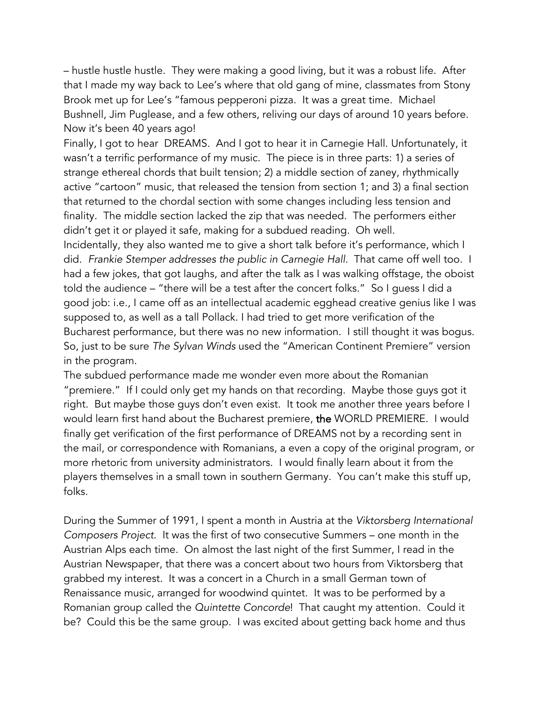– hustle hustle hustle. They were making a good living, but it was a robust life. After that I made my way back to Lee's where that old gang of mine, classmates from Stony Brook met up for Lee's "famous pepperoni pizza. It was a great time. Michael Bushnell, Jim Puglease, and a few others, reliving our days of around 10 years before. Now it's been 40 years ago!

Finally, I got to hear DREAMS. And I got to hear it in Carnegie Hall. Unfortunately, it wasn't a terrific performance of my music. The piece is in three parts: 1) a series of strange ethereal chords that built tension; 2) a middle section of zaney, rhythmically active "cartoon" music, that released the tension from section 1; and 3) a final section that returned to the chordal section with some changes including less tension and finality. The middle section lacked the zip that was needed. The performers either didn't get it or played it safe, making for a subdued reading. Oh well.

Incidentally, they also wanted me to give a short talk before it's performance, which I did. Frankie Stemper addresses the public in Carnegie Hall. That came off well too. I had a few jokes, that got laughs, and after the talk as I was walking offstage, the oboist told the audience – "there will be a test after the concert folks." So I guess I did a good job: i.e., I came off as an intellectual academic egghead creative genius like I was supposed to, as well as a tall Pollack. I had tried to get more verification of the Bucharest performance, but there was no new information. I still thought it was bogus. So, just to be sure *The Sylvan Winds* used the "American Continent Premiere" version in the program.

The subdued performance made me wonder even more about the Romanian "premiere." If I could only get my hands on that recording. Maybe those guys got it right. But maybe those guys don't even exist. It took me another three years before I would learn first hand about the Bucharest premiere, the WORLD PREMIERE. I would finally get verification of the first performance of DREAMS not by a recording sent in the mail, or correspondence with Romanians, a even a copy of the original program, or more rhetoric from university administrators. I would finally learn about it from the players themselves in a small town in southern Germany. You can't make this stuff up, folks.

During the Summer of 1991, I spent a month in Austria at the *Viktorsberg International Composers Project*. It was the first of two consecutive Summers – one month in the Austrian Alps each time. On almost the last night of the first Summer, I read in the Austrian Newspaper, that there was a concert about two hours from Viktorsberg that grabbed my interest. It was a concert in a Church in a small German town of Renaissance music, arranged for woodwind quintet. It was to be performed by a Romanian group called the *Quintette Concorde*!That caught my attention. Could it be? Could this be the same group. I was excited about getting back home and thus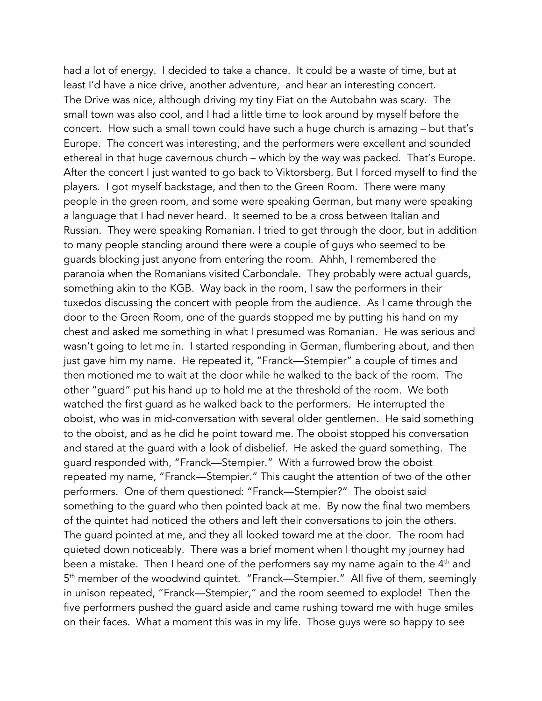had a lot of energy. I decided to take a chance. It could be a waste of time, but at least I'd have a nice drive, another adventure, and hear an interesting concert. The Drive was nice, although driving my tiny Fiat on the Autobahn was scary. The small town was also cool, and I had a little time to look around by myself before the concert. How such a small town could have such a huge church is amazing – but that's Europe. The concert was interesting, and the performers were excellent and sounded ethereal in that huge cavernous church – which by the way was packed. That's Europe. After the concert I just wanted to go back to Viktorsberg. But I forced myself to find the players. I got myself backstage, and then to the Green Room. There were many people in the green room, and some were speaking German, but many were speaking a language that I had never heard. It seemed to be a cross between Italian and Russian. They were speaking Romanian. I tried to get through the door, but in addition to many people standing around there were a couple of guys who seemed to be guards blocking just anyone from entering the room. Ahhh, I remembered the paranoia when the Romanians visited Carbondale. They probably were actual guards, something akin to the KGB. Way back in the room, I saw the performers in their tuxedos discussing the concert with people from the audience. As I came through the door to the Green Room, one of the guards stopped me by putting his hand on my chest and asked me something in what I presumed was Romanian. He was serious and wasn't going to let me in. I started responding in German, flumbering about, and then just gave him my name. He repeated it, "Franck—Stempier" a couple of times and then motioned me to wait at the door while he walked to the back of the room. The other "guard" put his hand up to hold me at the threshold of the room. We both watched the first guard as he walked back to the performers. He interrupted the oboist, who was in mid-conversation with several older gentlemen. He said something to the oboist, and as he did he point toward me. The oboist stopped his conversation and stared at the guard with a look of disbelief. He asked the guard something. The guard responded with, "Franck—Stempier." With a furrowed brow the oboist repeated my name, "Franck—Stempier." This caught the attention of two of the other performers. One of them questioned: "Franck—Stempier?" The oboist said something to the guard who then pointed back at me. By now the final two members of the quintet had noticed the others and left their conversations to join the others. The guard pointed at me, and they all looked toward me at the door. The room had quieted down noticeably. There was a brief moment when I thought my journey had been a mistake. Then I heard one of the performers say my name again to the 4<sup>th</sup> and 5<sup>th</sup> member of the woodwind quintet. "Franck—Stempier." All five of them, seemingly in unison repeated, "Franck—Stempier," and the room seemed to explode! Then the five performers pushed the guard aside and came rushing toward me with huge smiles on their faces. What a moment this was in my life. Those guys were so happy to see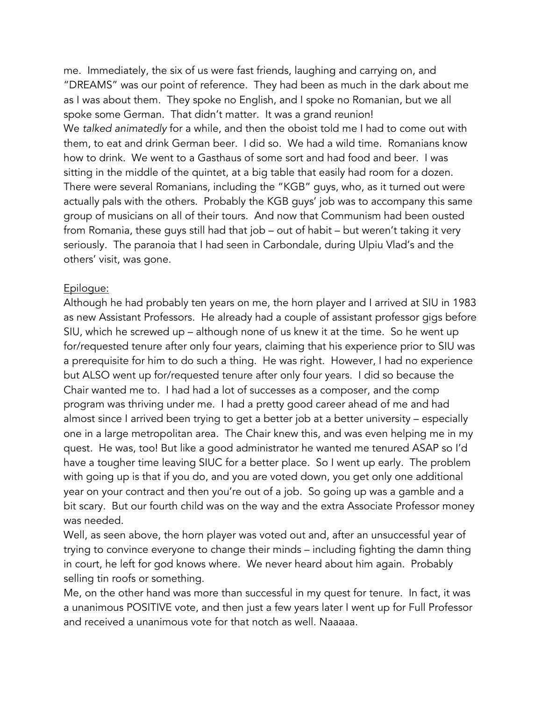me. Immediately, the six of us were fast friends, laughing and carrying on, and "DREAMS" was our point of reference. They had been as much in the dark about me as I was about them. They spoke no English, and I spoke no Romanian, but we all spoke some German. That didn't matter. It was a grand reunion! We *talked animatedly* for a while, and then the oboist told me I had to come out with them, to eat and drink German beer. I did so. We had a wild time. Romanians know how to drink. We went to a Gasthaus of some sort and had food and beer. I was sitting in the middle of the quintet, at a big table that easily had room for a dozen. There were several Romanians, including the "KGB" guys, who, as it turned out were actually pals with the others. Probably the KGB guys' job was to accompany this same group of musicians on all of their tours. And now that Communism had been ousted from Romania, these guys still had that job – out of habit – but weren't taking it very seriously. The paranoia that I had seen in Carbondale, during Ulpiu Vlad's and the others' visit, was gone.

## Epilogue:

Although he had probably ten years on me, the horn player and I arrived at SIU in 1983 as new Assistant Professors. He already had a couple of assistant professor gigs before SIU, which he screwed up – although none of us knew it at the time. So he went up for/requested tenure after only four years, claiming that his experience prior to SIU was a prerequisite for him to do such a thing. He was right. However, I had no experience but ALSO went up for/requested tenure after only four years. I did so because the Chair wanted me to. I had had a lot of successes as a composer, and the comp program was thriving under me. I had a pretty good career ahead of me and had almost since I arrived been trying to get a better job at a better university – especially one in a large metropolitan area. The Chair knew this, and was even helping me in my quest. He was, too! But like a good administrator he wanted me tenured ASAP so I'd have a tougher time leaving SIUC for a better place. So I went up early. The problem with going up is that if you do, and you are voted down, you get only one additional year on your contract and then you're out of a job. So going up was a gamble and a bit scary. But our fourth child was on the way and the extra Associate Professor money was needed.

Well, as seen above, the horn player was voted out and, after an unsuccessful year of trying to convince everyone to change their minds – including fighting the damn thing in court, he left for god knows where. We never heard about him again. Probably selling tin roofs or something.

Me, on the other hand was more than successful in my quest for tenure. In fact, it was a unanimous POSITIVE vote, and then just a few years later I went up for Full Professor and received a unanimous vote for that notch as well. Naaaaa.